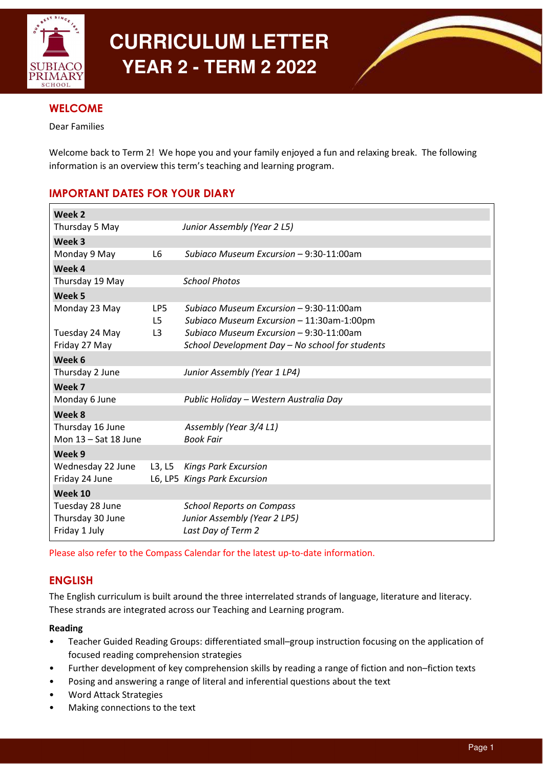

# **CURRICULUM LETTER YEAR 2 - TERM 2 2022**



# **WELCOME**

Dear Families

Welcome back to Term 2! We hope you and your family enjoyed a fun and relaxing break. The following information is an overview this term's teaching and learning program.

# IMPORTANT DATES FOR YOUR DIARY

| Week 2                 |                |                                                 |
|------------------------|----------------|-------------------------------------------------|
| Thursday 5 May         |                | Junior Assembly (Year 2 L5)                     |
| Week 3                 |                |                                                 |
| Monday 9 May           | L6             | Subiaco Museum Excursion - 9:30-11:00am         |
| Week 4                 |                |                                                 |
| Thursday 19 May        |                | <b>School Photos</b>                            |
| Week 5                 |                |                                                 |
| Monday 23 May          | LP5            | Subiaco Museum Excursion - 9:30-11:00am         |
|                        | L5             | Subiaco Museum Excursion - 11:30am-1:00pm       |
| Tuesday 24 May         | L <sub>3</sub> | Subiaco Museum Excursion - 9:30-11:00am         |
| Friday 27 May          |                | School Development Day - No school for students |
| Week 6                 |                |                                                 |
| Thursday 2 June        |                | Junior Assembly (Year 1 LP4)                    |
| Week 7                 |                |                                                 |
| Monday 6 June          |                | Public Holiday - Western Australia Day          |
| Week 8                 |                |                                                 |
| Thursday 16 June       |                | Assembly (Year 3/4 L1)                          |
| Mon $13 - Sat$ 18 June |                | <b>Book Fair</b>                                |
| Week 9                 |                |                                                 |
| Wednesday 22 June      | L3, L5         | <b>Kings Park Excursion</b>                     |
| Friday 24 June         |                | L6, LP5 Kings Park Excursion                    |
| Week 10                |                |                                                 |
| Tuesday 28 June        |                | <b>School Reports on Compass</b>                |
| Thursday 30 June       |                | Junior Assembly (Year 2 LP5)                    |
| Friday 1 July          |                | Last Day of Term 2                              |

Please also refer to the Compass Calendar for the latest up-to-date information.

# ENGLISH

The English curriculum is built around the three interrelated strands of language, literature and literacy. These strands are integrated across our Teaching and Learning program.

## Reading

- Teacher Guided Reading Groups: differentiated small–group instruction focusing on the application of focused reading comprehension strategies
- Further development of key comprehension skills by reading a range of fiction and non–fiction texts
- Posing and answering a range of literal and inferential questions about the text
- Word Attack Strategies
- Making connections to the text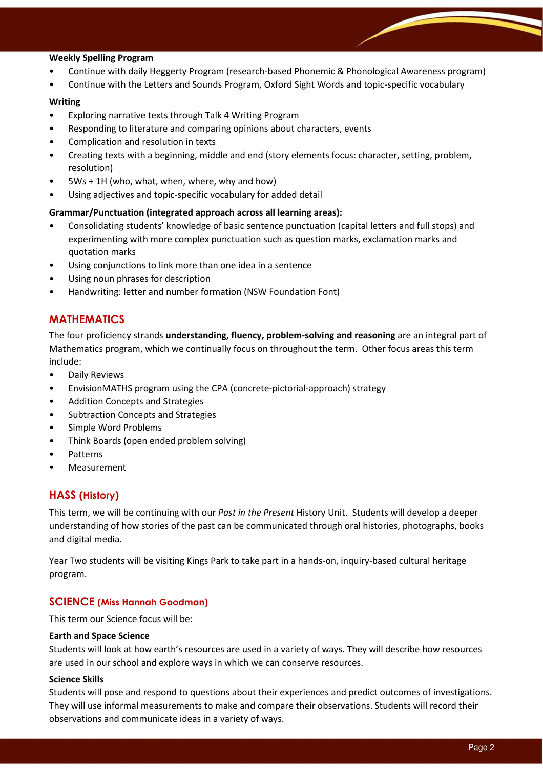#### Weekly Spelling Program

- Continue with daily Heggerty Program (research-based Phonemic & Phonological Awareness program)
- Continue with the Letters and Sounds Program, Oxford Sight Words and topic-specific vocabulary

#### Writing

- Exploring narrative texts through Talk 4 Writing Program
- Responding to literature and comparing opinions about characters, events
- Complication and resolution in texts
- Creating texts with a beginning, middle and end (story elements focus: character, setting, problem, resolution)
- $5Ws + 1H$  (who, what, when, where, why and how)
- Using adjectives and topic-specific vocabulary for added detail

#### Grammar/Punctuation (integrated approach across all learning areas):

- Consolidating students' knowledge of basic sentence punctuation (capital letters and full stops) and experimenting with more complex punctuation such as question marks, exclamation marks and quotation marks
- Using conjunctions to link more than one idea in a sentence
- Using noun phrases for description
- Handwriting: letter and number formation (NSW Foundation Font)

## MATHEMATICS

The four proficiency strands understanding, fluency, problem-solving and reasoning are an integral part of Mathematics program, which we continually focus on throughout the term. Other focus areas this term include:

- Daily Reviews
- EnvisionMATHS program using the CPA (concrete-pictorial-approach) strategy
- Addition Concepts and Strategies
- Subtraction Concepts and Strategies
- Simple Word Problems
- Think Boards (open ended problem solving)
- Patterns
- **Measurement**

## HASS (History)

This term, we will be continuing with our Past in the Present History Unit. Students will develop a deeper understanding of how stories of the past can be communicated through oral histories, photographs, books and digital media.

Year Two students will be visiting Kings Park to take part in a hands-on, inquiry-based cultural heritage program.

## SCIENCE (Miss Hannah Goodman)

This term our Science focus will be:

#### Earth and Space Science

Students will look at how earth's resources are used in a variety of ways. They will describe how resources are used in our school and explore ways in which we can conserve resources.

#### Science Skills

Students will pose and respond to questions about their experiences and predict outcomes of investigations. They will use informal measurements to make and compare their observations. Students will record their observations and communicate ideas in a variety of ways.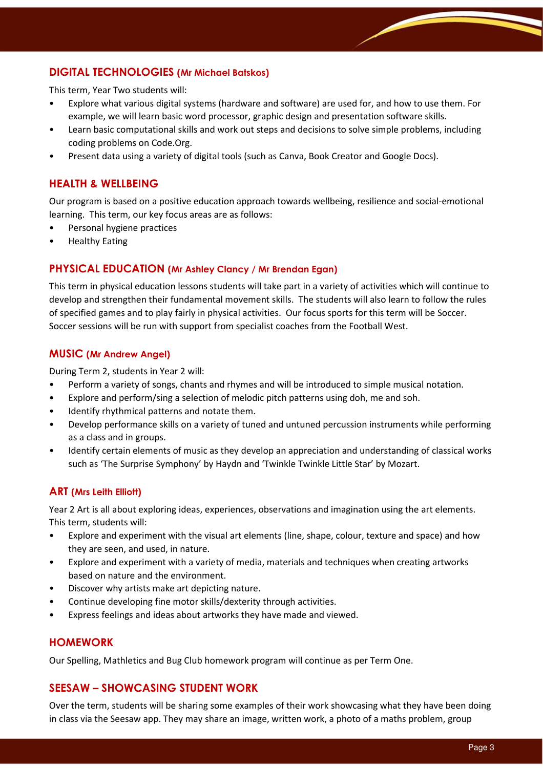## DIGITAL TECHNOLOGIES (Mr Michael Batskos)

This term, Year Two students will:

- Explore what various digital systems (hardware and software) are used for, and how to use them. For example, we will learn basic word processor, graphic design and presentation software skills.
- Learn basic computational skills and work out steps and decisions to solve simple problems, including coding problems on Code.Org.
- Present data using a variety of digital tools (such as Canva, Book Creator and Google Docs).

## HEALTH & WELLBEING

Our program is based on a positive education approach towards wellbeing, resilience and social-emotional learning. This term, our key focus areas are as follows:

- Personal hygiene practices
- Healthy Eating

## PHYSICAL EDUCATION (Mr Ashley Clancy / Mr Brendan Egan)

This term in physical education lessons students will take part in a variety of activities which will continue to develop and strengthen their fundamental movement skills. The students will also learn to follow the rules of specified games and to play fairly in physical activities. Our focus sports for this term will be Soccer. Soccer sessions will be run with support from specialist coaches from the Football West.

#### MUSIC (Mr Andrew Angel)

During Term 2, students in Year 2 will:

- Perform a variety of songs, chants and rhymes and will be introduced to simple musical notation.
- Explore and perform/sing a selection of melodic pitch patterns using doh, me and soh.
- Identify rhythmical patterns and notate them.
- Develop performance skills on a variety of tuned and untuned percussion instruments while performing as a class and in groups.
- Identify certain elements of music as they develop an appreciation and understanding of classical works such as 'The Surprise Symphony' by Haydn and 'Twinkle Twinkle Little Star' by Mozart.

#### ART (Mrs Leith Elliott)

Year 2 Art is all about exploring ideas, experiences, observations and imagination using the art elements. This term, students will:

- Explore and experiment with the visual art elements (line, shape, colour, texture and space) and how they are seen, and used, in nature.
- Explore and experiment with a variety of media, materials and techniques when creating artworks based on nature and the environment.
- Discover why artists make art depicting nature.
- Continue developing fine motor skills/dexterity through activities.
- Express feelings and ideas about artworks they have made and viewed.

#### HOMEWORK

Our Spelling, Mathletics and Bug Club homework program will continue as per Term One.

## SEESAW – SHOWCASING STUDENT WORK

Over the term, students will be sharing some examples of their work showcasing what they have been doing in class via the Seesaw app. They may share an image, written work, a photo of a maths problem, group